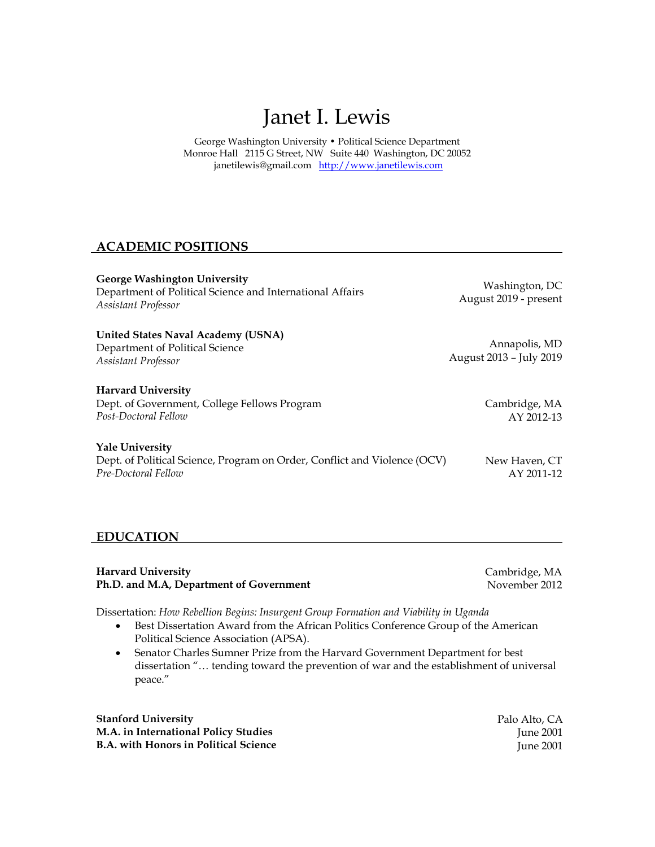# Janet I. Lewis

George Washington University • Political Science Department Monroe Hall 2115 G Street, NW Suite 440 Washington, DC 20052 [janetilewis@gmail.com](mailto:janetilewis@gmail.com) [http://www.janetilewis.com](http://www.janetilewis.com/)

# **ACADEMIC POSITIONS**

**George Washington University** Department of Political Science and International Affairs *Assistant Professor*

Washington, DC August 2019 - present

**United States Naval Academy (USNA)** Department of Political Science *Assistant Professor*

#### **Harvard University**

Dept. of Government, College Fellows Program *Post-Doctoral Fellow*

AY 2012-13

#### **Yale University**

Dept. of Political Science, Program on Order, Conflict and Violence (OCV) *Pre-Doctoral Fellow*

# **EDUCATION**

**Harvard University Ph.D. and M.A, Department of Government** Cambridge, MA November 2012

Dissertation: *How Rebellion Begins: Insurgent Group Formation and Viability in Uganda*

- Best Dissertation Award from the African Politics Conference Group of the American Political Science Association (APSA).
- Senator Charles Sumner Prize from the Harvard Government Department for best dissertation "… tending toward the prevention of war and the establishment of universal peace."

**Stanford University M.A. in International Policy Studies B.A. with Honors in Political Science** Palo Alto, CA June 2001 June 2001

Annapolis, MD August 2013 – July 2019

Cambridge, MA

New Haven, CT AY 2011-12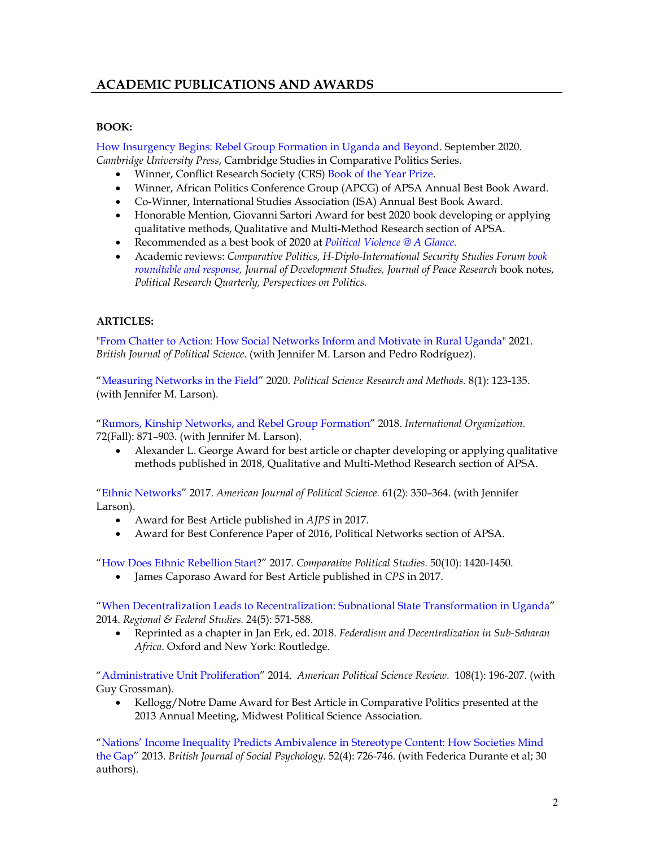# **ACADEMIC PUBLICATIONS AND AWARDS**

#### **BOOK:**

[How Insurgency Begins: Rebel Group Formation in Uganda and Beyond.](https://www.cambridge.org/core/books/how-insurgency-begins/8798DEF1B3A5563C402E4F5D4617C8CA#fndtn-information) September 2020. *Cambridge University Press*, Cambridge Studies in Comparative Politics Series.

- Winner, Conflict Research Society (CRS) Book [of the Year Prize.](https://conflictresearchsociety.org/crs-book-prize-winner-2021/)
- Winner, African Politics Conference Group (APCG) of APSA Annual Best Book Award.
- Co-Winner, International Studies Association (ISA) Annual Best Book Award.
- Honorable Mention, Giovanni Sartori Award for best 2020 book developing or applying qualitative methods, Qualitative and Multi-Method Research section of APSA.
- Recommended as a best book of 2020 at *[Political Violence @ A Glance.](https://politicalviolenceataglance.org/2020/12/11/good-reads-2020/)*
- Academic reviews: *Comparative Politics, H-Diplo-International Security Studies Foru[m book](https://networks.h-net.org/node/28443/discussions/9764791/h-diploissf-roundtable-13-8-how-insurgency-begins-rebel-group)  roundtable [and response,](https://networks.h-net.org/node/28443/discussions/9764791/h-diploissf-roundtable-13-8-how-insurgency-begins-rebel-group) Journal of Development Studies, Journal of Peace Research* book notes, *Political Research Quarterly, Perspectives on Politics.*

## **ARTICLES:**

["From Chatter to Action: How Social Networks Inform and Motivate in Rural Uganda"](https://www.cambridge.org/core/journals/british-journal-of-political-science/article/from-chatter-to-action-how-social-networks-inform-and-motivate-in-rural-uganda/CB0610688B40B11541C57171CD2A659E) 2021. *British Journal of Political Science.* (with Jennifer M. Larson and Pedro Rodríguez).

["Measuring Networks in the Field"](https://www.cambridge.org/core/journals/political-science-research-and-methods/article/measuring-networks-in-the-field/CD908750E6E943908B37A9275C053F66#:%7E:text=Measuring%20networks%20in%20the%20field%E2%80%94usually%20by%20asking%20individuals%20systematically,settings%20can%20lead%20researchers%20astray.) 2020. *Political Science Research and Methods.* 8(1): 123-135. (with Jennifer M. Larson).

["Rumors, Kinship Networks, and Rebel Group Formation"](https://www.cambridge.org/core/journals/international-organization/article/rumors-kinship-networks-and-rebel-group-formation/1A7007931AB472DEBFE6435B20A3907B) 2018. *International Organization.*  72(Fall): 871–903. (with Jennifer M. Larson).

• Alexander L. George Award for best article or chapter developing or applying qualitative methods published in 2018, Qualitative and Multi-Method Research section of APSA.

["Ethnic Networks"](https://onlinelibrary.wiley.com/doi/abs/10.1111/ajps.12282) 2017. *American Journal of Political Science.* 61(2): 350–364. (with Jennifer Larson).

- Award for Best Article published in *AJPS* in 2017.
- Award for Best Conference Paper of 2016, Political Networks section of APSA.

["How Does Ethnic Rebellion Start?](https://journals.sagepub.com/doi/full/10.1177/0010414016672235)" 2017. *Comparative Political Studies.* 50(10): 1420-1450.

• James Caporaso Award for Best Article published in *CPS* in 2017.

["When Decentralization Leads to Recentralization: Subnational State Transformation in Uganda"](https://www.tandfonline.com/doi/abs/10.1080/13597566.2014.971771) 2014. *Regional & Federal Studies.* 24(5): 571-588.

• Reprinted as a chapter in Jan Erk, ed. 2018. *Federalism and Decentralization in Sub-Saharan Africa*. Oxford and New York: Routledge.

["Administrative Unit Proliferation"](https://www.cambridge.org/core/journals/american-political-science-review/article/administrative-unit-proliferation/28FB2861D809344D840B245100151918) 2014. *American Political Science Review.* 108(1): 196-207. (with Guy Grossman).

• Kellogg/Notre Dame Award for Best Article in Comparative Politics presented at the 2013 Annual Meeting, Midwest Political Science Association.

["Nations' Income Inequality Predicts Ambivalence in Stereotype Content: How Societies Mind](https://bpspsychub.onlinelibrary.wiley.com/doi/abs/10.1111/bjso.12005#:%7E:text=Income%20inequality%20undermines%20societies%3A%20The,mobility%2C%20trust%2C%20life%20expectancy.&text=More%20unequal%20societies%20report%20more,necessarily%20respect%20them%20as%20competent.)  [the Gap"](https://bpspsychub.onlinelibrary.wiley.com/doi/abs/10.1111/bjso.12005#:%7E:text=Income%20inequality%20undermines%20societies%3A%20The,mobility%2C%20trust%2C%20life%20expectancy.&text=More%20unequal%20societies%20report%20more,necessarily%20respect%20them%20as%20competent.) 2013. *British Journal of Social Psychology.* 52(4): 726-746. (with Federica Durante et al; 30 authors).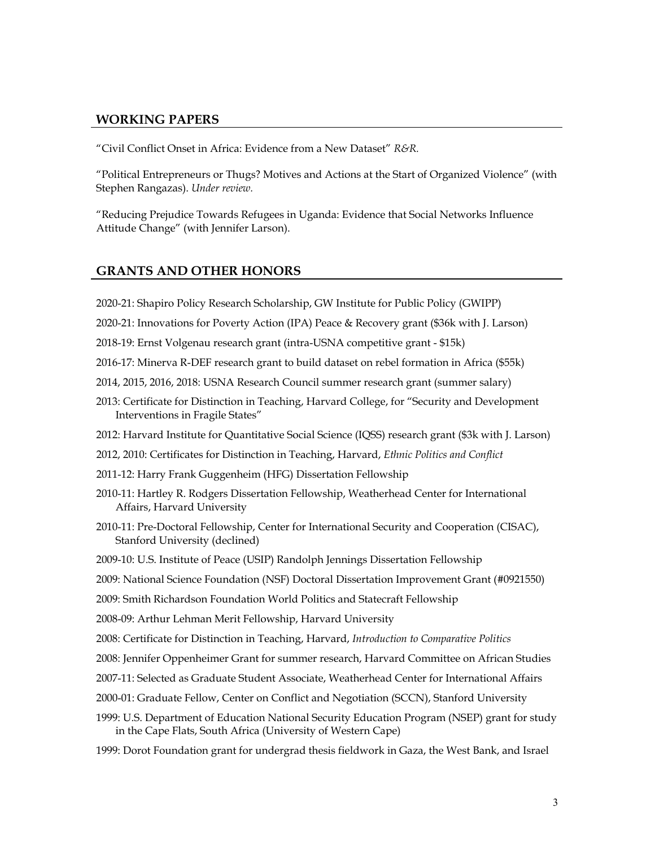#### **WORKING PAPERS**

"Civil Conflict Onset in Africa: Evidence from a New Dataset" *R&R.*

"Political Entrepreneurs or Thugs? Motives and Actions at the Start of Organized Violence" (with Stephen Rangazas). *Under review.*

"Reducing Prejudice Towards Refugees in Uganda: Evidence that Social Networks Influence Attitude Change" (with Jennifer Larson).

#### **GRANTS AND OTHER HONORS**

- 2020-21: Shapiro Policy Research Scholarship, GW Institute for Public Policy (GWIPP)
- 2020-21: Innovations for Poverty Action (IPA) Peace & Recovery grant (\$36k with J. Larson)
- 2018-19: Ernst Volgenau research grant (intra-USNA competitive grant \$15k)
- 2016-17: Minerva R-DEF research grant to build dataset on rebel formation in Africa (\$55k)
- 2014, 2015, 2016, 2018: USNA Research Council summer research grant (summer salary)
- 2013: Certificate for Distinction in Teaching, Harvard College, for "Security and Development Interventions in Fragile States"
- 2012: Harvard Institute for Quantitative Social Science (IQSS) research grant (\$3k with J. Larson)
- 2012, 2010: Certificates for Distinction in Teaching, Harvard, *Ethnic Politics and Conflict*
- 2011-12: Harry Frank Guggenheim (HFG) Dissertation Fellowship
- 2010-11: Hartley R. Rodgers Dissertation Fellowship, Weatherhead Center for International Affairs, Harvard University
- 2010-11: Pre-Doctoral Fellowship, Center for International Security and Cooperation (CISAC), Stanford University (declined)
- 2009-10: U.S. Institute of Peace (USIP) Randolph Jennings Dissertation Fellowship
- 2009: National Science Foundation (NSF) Doctoral Dissertation Improvement Grant (#0921550)
- 2009: Smith Richardson Foundation World Politics and Statecraft Fellowship
- 2008-09: Arthur Lehman Merit Fellowship, Harvard University
- 2008: Certificate for Distinction in Teaching, Harvard, *Introduction to Comparative Politics*
- 2008: Jennifer Oppenheimer Grant for summer research, Harvard Committee on African Studies
- 2007-11: Selected as Graduate Student Associate, Weatherhead Center for International Affairs
- 2000-01: Graduate Fellow, Center on Conflict and Negotiation (SCCN), Stanford University
- 1999: U.S. Department of Education National Security Education Program (NSEP) grant for study in the Cape Flats, South Africa (University of Western Cape)
- 1999: Dorot Foundation grant for undergrad thesis fieldwork in Gaza, the West Bank, and Israel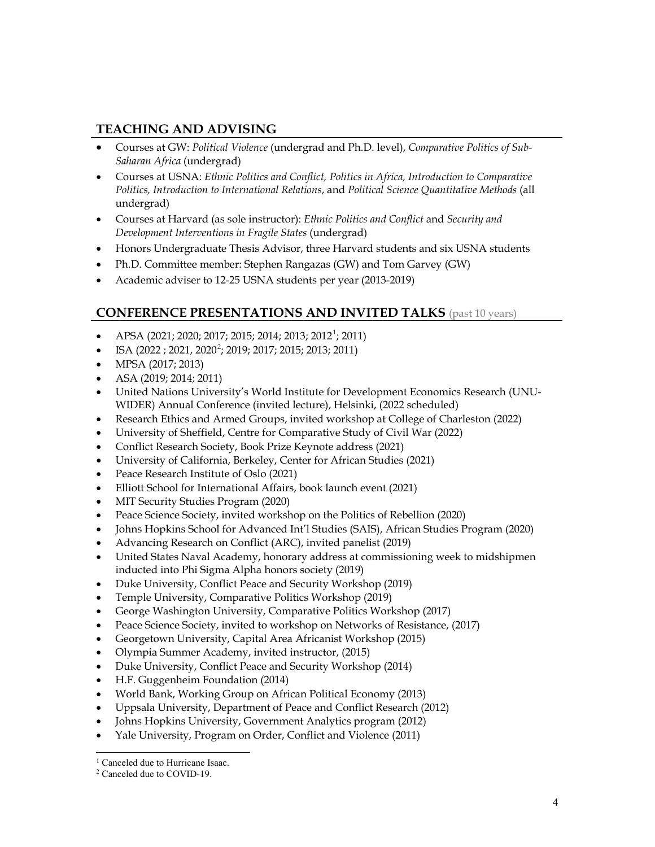# **TEACHING AND ADVISING**

- Courses at GW: *Political Violence* (undergrad and Ph.D. level), *Comparative Politics of Sub-Saharan Africa* (undergrad)
- Courses at USNA: *Ethnic Politics and Conflict, Politics in Africa, Introduction to Comparative Politics, Introduction to International Relations*, and *Political Science Quantitative Methods* (all undergrad)
- Courses at Harvard (as sole instructor): *Ethnic Politics and Conflict* and *Security and Development Interventions in Fragile States* (undergrad)
- Honors Undergraduate Thesis Advisor, three Harvard students and six USNA students
- Ph.D. Committee member: Stephen Rangazas (GW) and Tom Garvey (GW)
- Academic adviser to 12-25 USNA students per year (2013-2019)

# **CONFERENCE PRESENTATIONS AND INVITED TALKS** (past 10 years)

- APSA (202[1](#page-3-0); 2020; 2017; 2015; 2014; 2013; 2012<sup>1</sup>; 2011)
- ISA  $(2022; 2021, 2020^2; 2019; 2017; 2015; 2013; 2011)$  $(2022; 2021, 2020^2; 2019; 2017; 2015; 2013; 2011)$  $(2022; 2021, 2020^2; 2019; 2017; 2015; 2013; 2011)$
- MPSA (2017; 2013)
- ASA (2019; 2014; 2011)
- United Nations University's World Institute for Development Economics Research (UNU-WIDER) Annual Conference (invited lecture), Helsinki, (2022 scheduled)
- Research Ethics and Armed Groups, invited workshop at College of Charleston (2022)
- University of Sheffield, Centre for Comparative Study of Civil War (2022)
- Conflict Research Society, Book Prize Keynote address (2021)
- University of California, Berkeley, Center for African Studies (2021)
- Peace Research Institute of Oslo (2021)
- Elliott School for International Affairs, book launch event (2021)
- MIT Security Studies Program (2020)
- Peace Science Society, invited workshop on the Politics of Rebellion (2020)
- Johns Hopkins School for Advanced Int'l Studies (SAIS), African Studies Program (2020)
- Advancing Research on Conflict (ARC), invited panelist (2019)
- United States Naval Academy, honorary address at commissioning week to midshipmen inducted into Phi Sigma Alpha honors society (2019)
- Duke University, Conflict Peace and Security Workshop (2019)
- Temple University, Comparative Politics Workshop (2019)
- George Washington University, Comparative Politics Workshop (2017)
- Peace Science Society, invited to workshop on Networks of Resistance, (2017)
- Georgetown University, Capital Area Africanist Workshop (2015)
- Olympia Summer Academy, invited instructor, (2015)
- Duke University, Conflict Peace and Security Workshop (2014)
- H.F. Guggenheim Foundation (2014)
- World Bank, Working Group on African Political Economy (2013)
- Uppsala University, Department of Peace and Conflict Research (2012)
- Johns Hopkins University, Government Analytics program (2012)
- Yale University, Program on Order, Conflict and Violence (2011)

 $\overline{a}$ 

<span id="page-3-0"></span><sup>&</sup>lt;sup>1</sup> Canceled due to Hurricane Isaac.

<span id="page-3-1"></span><sup>2</sup> Canceled due to COVID-19.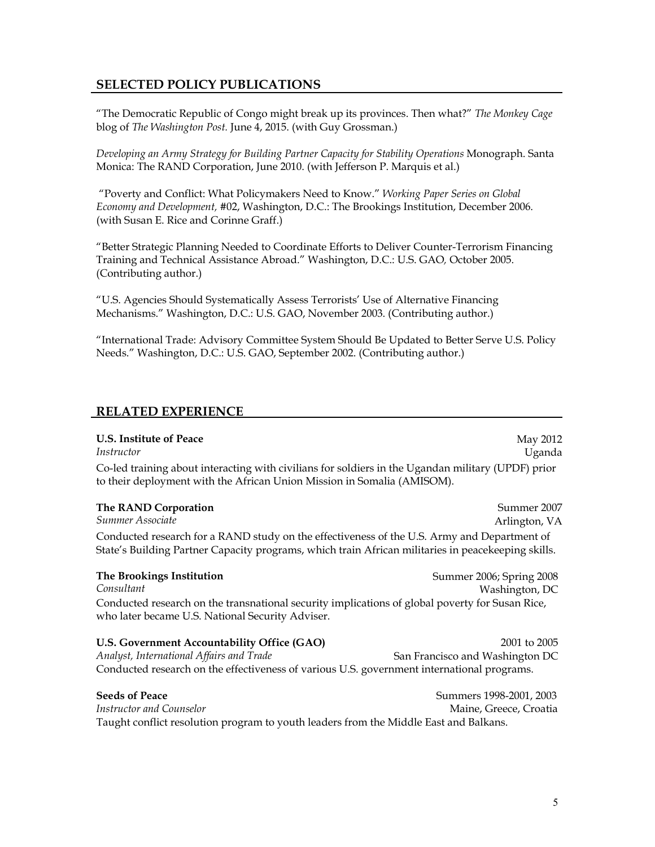# **SELECTED POLICY PUBLICATIONS**

"The Democratic Republic of Congo might break up its provinces. Then what?" *The Monkey Cage*  blog of *The Washington Post.* June 4, 2015. (with Guy Grossman.)

*Developing an Army Strategy for Building Partner Capacity for Stability Operations* Monograph. Santa Monica: The RAND Corporation, June 2010. (with Jefferson P. Marquis et al.)

 "Poverty and Conflict: What Policymakers Need to Know." *Working Paper Series on Global Economy and Development, #*02, Washington, D.C.: The Brookings Institution, December 2006. (with Susan E. Rice and Corinne Graff.)

"Better Strategic Planning Needed to Coordinate Efforts to Deliver Counter-Terrorism Financing Training and Technical Assistance Abroad." Washington, D.C.: U.S. GAO*,* October 2005. (Contributing author.)

"U.S. Agencies Should Systematically Assess Terrorists' Use of Alternative Financing Mechanisms." Washington, D.C.: U.S. GAO, November 2003. (Contributing author.)

"International Trade: Advisory Committee System Should Be Updated to Better Serve U.S. Policy Needs." Washington, D.C.: U.S. GAO, September 2002. (Contributing author.)

### **RELATED EXPERIENCE**

#### **U.S. Institute of Peace**

*Instructor*  May 2012 Uganda Co-led training about interacting with civilians for soldiers in the Ugandan military (UPDF) prior to their deployment with the African Union Mission in Somalia (AMISOM).

#### **The RAND Corporation** *Summer Associate* Summer 2007 Arlington, VA Conducted research for a RAND study on the effectiveness of the U.S. Army and Department of State's Building Partner Capacity programs, which train African militaries in peacekeeping skills.

**The Brookings Institution** *Consultant* Summer 2006; Spring 2008 Washington, DC Conducted research on the transnational security implications of global poverty for Susan Rice, who later became U.S. National Security Adviser.

| U.S. Government Accountability Office (GAO)                                                | 2001 to 2005                    |
|--------------------------------------------------------------------------------------------|---------------------------------|
| Analyst, International Affairs and Trade                                                   | San Francisco and Washington DC |
| Conducted research on the effectiveness of various U.S. government international programs. |                                 |

**Seeds of Peace Summers 1998-2001, 2003** *Instructor and Counselor Alternative Counselor Alternative Counselor Alternative Croatia Maine, Greece, Croatia* Taught conflict resolution program to youth leaders from the Middle East and Balkans.